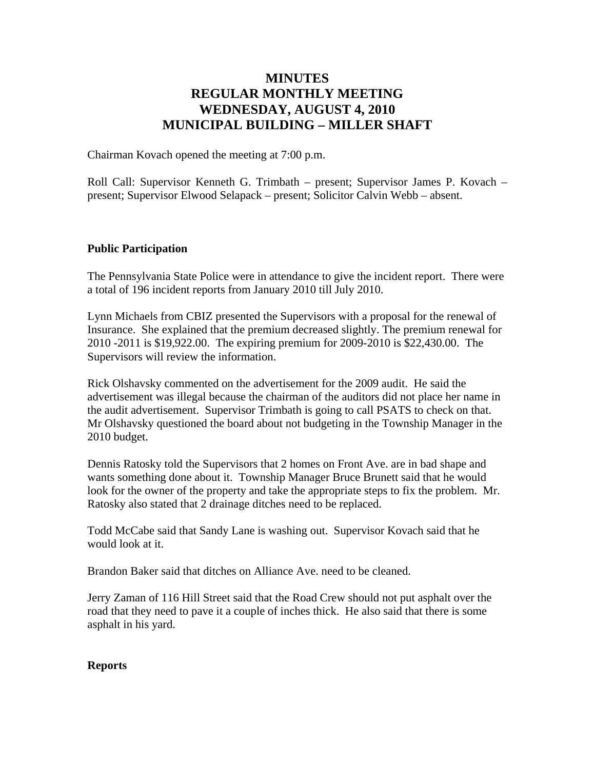# **MINUTES REGULAR MONTHLY MEETING WEDNESDAY, AUGUST 4, 2010 MUNICIPAL BUILDING – MILLER SHAFT**

Chairman Kovach opened the meeting at 7:00 p.m.

Roll Call: Supervisor Kenneth G. Trimbath – present; Supervisor James P. Kovach – present; Supervisor Elwood Selapack – present; Solicitor Calvin Webb – absent.

### **Public Participation**

The Pennsylvania State Police were in attendance to give the incident report. There were a total of 196 incident reports from January 2010 till July 2010.

Lynn Michaels from CBIZ presented the Supervisors with a proposal for the renewal of Insurance. She explained that the premium decreased slightly. The premium renewal for 2010 -2011 is \$19,922.00. The expiring premium for 2009-2010 is \$22,430.00. The Supervisors will review the information.

Rick Olshavsky commented on the advertisement for the 2009 audit. He said the advertisement was illegal because the chairman of the auditors did not place her name in the audit advertisement. Supervisor Trimbath is going to call PSATS to check on that. Mr Olshavsky questioned the board about not budgeting in the Township Manager in the 2010 budget.

Dennis Ratosky told the Supervisors that 2 homes on Front Ave. are in bad shape and wants something done about it. Township Manager Bruce Brunett said that he would look for the owner of the property and take the appropriate steps to fix the problem. Mr. Ratosky also stated that 2 drainage ditches need to be replaced.

Todd McCabe said that Sandy Lane is washing out. Supervisor Kovach said that he would look at it.

Brandon Baker said that ditches on Alliance Ave. need to be cleaned.

Jerry Zaman of 116 Hill Street said that the Road Crew should not put asphalt over the road that they need to pave it a couple of inches thick. He also said that there is some asphalt in his yard.

## **Reports**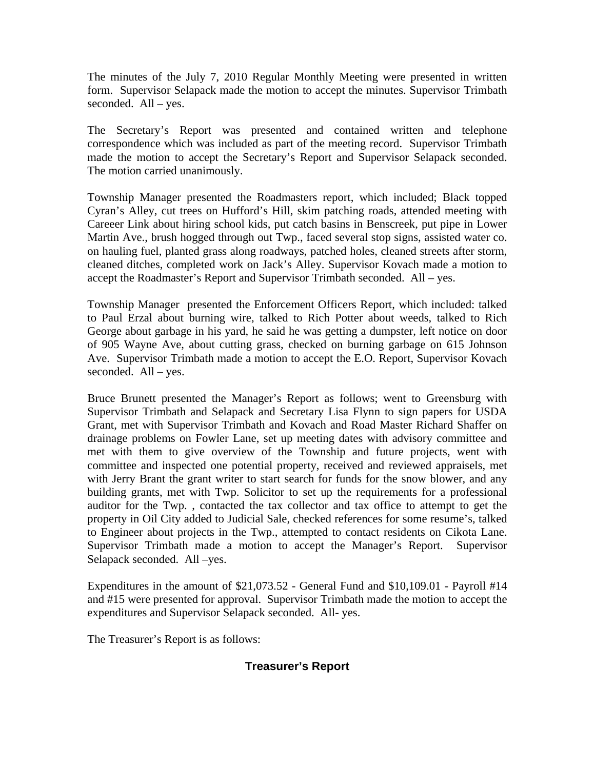The minutes of the July 7, 2010 Regular Monthly Meeting were presented in written form. Supervisor Selapack made the motion to accept the minutes. Supervisor Trimbath seconded. All – yes.

The Secretary's Report was presented and contained written and telephone correspondence which was included as part of the meeting record. Supervisor Trimbath made the motion to accept the Secretary's Report and Supervisor Selapack seconded. The motion carried unanimously.

Township Manager presented the Roadmasters report, which included; Black topped Cyran's Alley, cut trees on Hufford's Hill, skim patching roads, attended meeting with Careeer Link about hiring school kids, put catch basins in Benscreek, put pipe in Lower Martin Ave., brush hogged through out Twp., faced several stop signs, assisted water co. on hauling fuel, planted grass along roadways, patched holes, cleaned streets after storm, cleaned ditches, completed work on Jack's Alley. Supervisor Kovach made a motion to accept the Roadmaster's Report and Supervisor Trimbath seconded. All – yes.

Township Manager presented the Enforcement Officers Report, which included: talked to Paul Erzal about burning wire, talked to Rich Potter about weeds, talked to Rich George about garbage in his yard, he said he was getting a dumpster, left notice on door of 905 Wayne Ave, about cutting grass, checked on burning garbage on 615 Johnson Ave. Supervisor Trimbath made a motion to accept the E.O. Report, Supervisor Kovach seconded. All – yes.

Bruce Brunett presented the Manager's Report as follows; went to Greensburg with Supervisor Trimbath and Selapack and Secretary Lisa Flynn to sign papers for USDA Grant, met with Supervisor Trimbath and Kovach and Road Master Richard Shaffer on drainage problems on Fowler Lane, set up meeting dates with advisory committee and met with them to give overview of the Township and future projects, went with committee and inspected one potential property, received and reviewed appraisels, met with Jerry Brant the grant writer to start search for funds for the snow blower, and any building grants, met with Twp. Solicitor to set up the requirements for a professional auditor for the Twp. , contacted the tax collector and tax office to attempt to get the property in Oil City added to Judicial Sale, checked references for some resume's, talked to Engineer about projects in the Twp., attempted to contact residents on Cikota Lane. Supervisor Trimbath made a motion to accept the Manager's Report. Supervisor Selapack seconded. All –yes.

Expenditures in the amount of \$21,073.52 - General Fund and \$10,109.01 - Payroll #14 and #15 were presented for approval. Supervisor Trimbath made the motion to accept the expenditures and Supervisor Selapack seconded. All- yes.

The Treasurer's Report is as follows:

## **Treasurer's Report**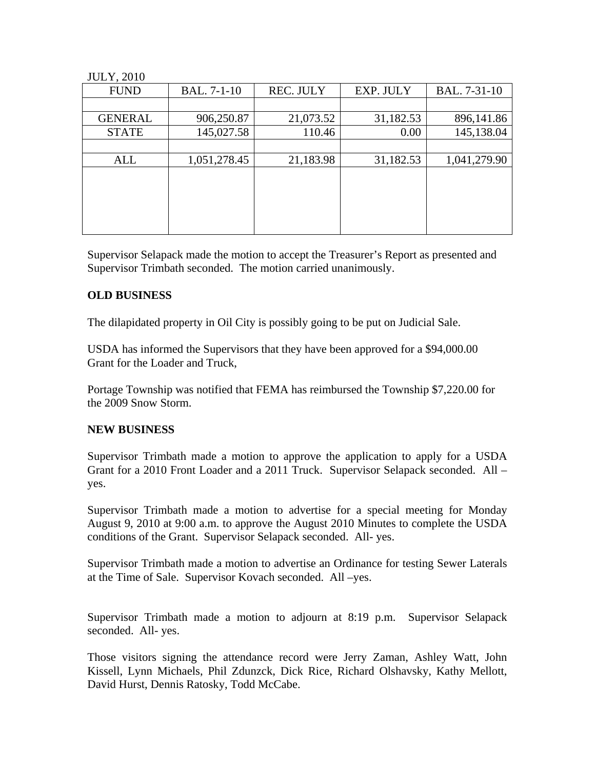#### JULY, 2010

| <b>FUND</b>    | <b>BAL.</b> 7-1-10 | <b>REC. JULY</b> | EXP. JULY | BAL. 7-31-10 |
|----------------|--------------------|------------------|-----------|--------------|
|                |                    |                  |           |              |
| <b>GENERAL</b> | 906,250.87         | 21,073.52        | 31,182.53 | 896,141.86   |
| <b>STATE</b>   | 145,027.58         | 110.46           | 0.00      | 145,138.04   |
|                |                    |                  |           |              |
| ALL            | 1,051,278.45       | 21,183.98        | 31,182.53 | 1,041,279.90 |
|                |                    |                  |           |              |
|                |                    |                  |           |              |
|                |                    |                  |           |              |
|                |                    |                  |           |              |
|                |                    |                  |           |              |

Supervisor Selapack made the motion to accept the Treasurer's Report as presented and Supervisor Trimbath seconded. The motion carried unanimously.

#### **OLD BUSINESS**

The dilapidated property in Oil City is possibly going to be put on Judicial Sale.

USDA has informed the Supervisors that they have been approved for a \$94,000.00 Grant for the Loader and Truck,

Portage Township was notified that FEMA has reimbursed the Township \$7,220.00 for the 2009 Snow Storm.

#### **NEW BUSINESS**

Supervisor Trimbath made a motion to approve the application to apply for a USDA Grant for a 2010 Front Loader and a 2011 Truck. Supervisor Selapack seconded. All – yes.

Supervisor Trimbath made a motion to advertise for a special meeting for Monday August 9, 2010 at 9:00 a.m. to approve the August 2010 Minutes to complete the USDA conditions of the Grant. Supervisor Selapack seconded. All- yes.

Supervisor Trimbath made a motion to advertise an Ordinance for testing Sewer Laterals at the Time of Sale. Supervisor Kovach seconded. All –yes.

Supervisor Trimbath made a motion to adjourn at 8:19 p.m. Supervisor Selapack seconded. All- yes.

Those visitors signing the attendance record were Jerry Zaman, Ashley Watt, John Kissell, Lynn Michaels, Phil Zdunzck, Dick Rice, Richard Olshavsky, Kathy Mellott, David Hurst, Dennis Ratosky, Todd McCabe.